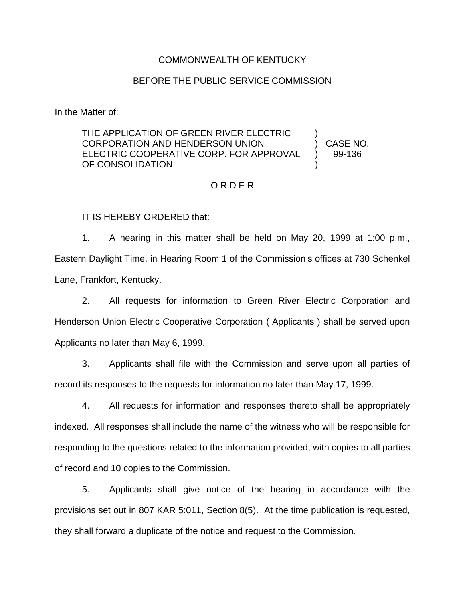## COMMONWEALTH OF KENTUCKY

## BEFORE THE PUBLIC SERVICE COMMISSION

In the Matter of:

THE APPLICATION OF GREEN RIVER ELECTRIC CORPORATION AND HENDERSON UNION ELECTRIC COOPERATIVE CORP. FOR APPROVAL OF CONSOLIDATION ) ) CASE NO. ) 99-136 )

## O R D E R

IT IS HEREBY ORDERED that:

1. A hearing in this matter shall be held on May 20, 1999 at 1:00 p.m., Eastern Daylight Time, in Hearing Room 1 of the Commission s offices at 730 Schenkel Lane, Frankfort, Kentucky.

2. All requests for information to Green River Electric Corporation and Henderson Union Electric Cooperative Corporation ( Applicants ) shall be served upon Applicants no later than May 6, 1999.

3. Applicants shall file with the Commission and serve upon all parties of record its responses to the requests for information no later than May 17, 1999.

4. All requests for information and responses thereto shall be appropriately indexed. All responses shall include the name of the witness who will be responsible for responding to the questions related to the information provided, with copies to all parties of record and 10 copies to the Commission.

5. Applicants shall give notice of the hearing in accordance with the provisions set out in 807 KAR 5:011, Section 8(5). At the time publication is requested, they shall forward a duplicate of the notice and request to the Commission.